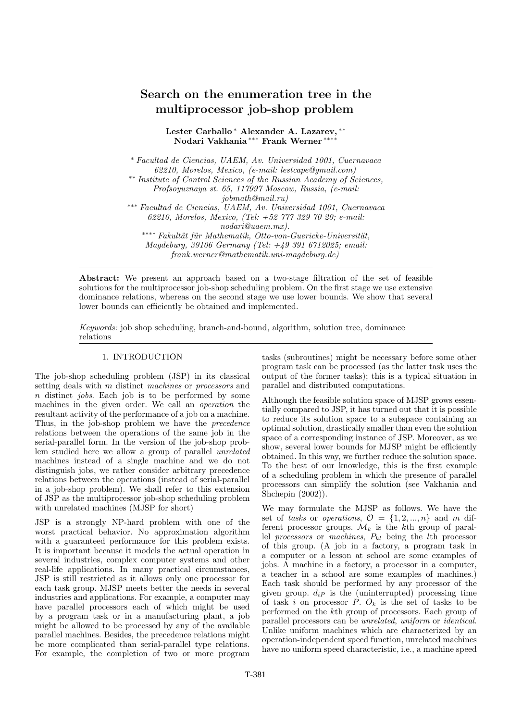# Search on the enumeration tree in the multiprocessor job-shop problem

Lester Carballo <sup>∗</sup> Alexander A. Lazarev, ∗∗ Nodari Vakhania ∗∗∗ Frank Werner ∗∗∗∗

<sup>∗</sup> Facultad de Ciencias, UAEM, Av. Universidad 1001, Cuernavaca 62210, Morelos, Mexico, (e-mail: lestcape@gmail.com) ∗∗ Institute of Control Sciences of the Russian Academy of Sciences, Profsoyuznaya st. 65, 117997 Moscow, Russia, (e-mail: jobmath@mail.ru) ∗∗∗ Facultad de Ciencias, UAEM, Av. Universidad 1001, Cuernavaca 62210, Morelos, Mexico, (Tel: +52 777 329 70 20; e-mail: nodari@uaem.mx). ∗•∗∗∗ Fakultät für Mathematik, Otto-von-Guericke-Universität, Magdeburg, 39106 Germany (Tel: +49 391 6712025; email: frank.werner@mathematik.uni-magdeburg.de)

Abstract: We present an approach based on a two-stage filtration of the set of feasible solutions for the multiprocessor job-shop scheduling problem. On the first stage we use extensive dominance relations, whereas on the second stage we use lower bounds. We show that several lower bounds can efficiently be obtained and implemented.

Keywords: job shop scheduling, branch-and-bound, algorithm, solution tree, dominance relations

# 1. INTRODUCTION

The job-shop scheduling problem (JSP) in its classical setting deals with m distinct machines or processors and n distinct jobs. Each job is to be performed by some machines in the given order. We call an operation the resultant activity of the performance of a job on a machine. Thus, in the job-shop problem we have the precedence relations between the operations of the same job in the serial-parallel form. In the version of the job-shop problem studied here we allow a group of parallel unrelated machines instead of a single machine and we do not distinguish jobs, we rather consider arbitrary precedence relations between the operations (instead of serial-parallel in a job-shop problem). We shall refer to this extension of JSP as the multiprocessor job-shop scheduling problem with unrelated machines (MJSP for short)

JSP is a strongly NP-hard problem with one of the worst practical behavior. No approximation algorithm with a guaranteed performance for this problem exists. It is important because it models the actual operation in several industries, complex computer systems and other real-life applications. In many practical circumstances, JSP is still restricted as it allows only one processor for each task group. MJSP meets better the needs in several industries and applications. For example, a computer may have parallel processors each of which might be used by a program task or in a manufacturing plant, a job might be allowed to be processed by any of the available parallel machines. Besides, the precedence relations might be more complicated than serial-parallel type relations. For example, the completion of two or more program tasks (subroutines) might be necessary before some other program task can be processed (as the latter task uses the output of the former tasks); this is a typical situation in parallel and distributed computations.

Although the feasible solution space of MJSP grows essentially compared to JSP, it has turned out that it is possible to reduce its solution space to a subspace containing an optimal solution, drastically smaller than even the solution space of a corresponding instance of JSP. Moreover, as we show, several lower bounds for MJSP might be efficiently obtained. In this way, we further reduce the solution space. To the best of our knowledge, this is the first example of a scheduling problem in which the presence of parallel processors can simplify the solution (see Vakhania and Shchepin (2002)).

We may formulate the MJSP as follows. We have the set of tasks or operations,  $\mathcal{O} = \{1, 2, ..., n\}$  and m different processor groups.  $\mathcal{M}_k$  is the kth group of parallel processors or machines,  $P_{kl}$  being the *l*th processor of this group. (A job in a factory, a program task in a computer or a lesson at school are some examples of jobs. A machine in a factory, a processor in a computer, a teacher in a school are some examples of machines.) Each task should be performed by any processor of the given group.  $d_{iP}$  is the (uninterrupted) processing time of task i on processor P.  $O_k$  is the set of tasks to be performed on the kth group of processors. Each group of parallel processors can be unrelated, uniform or identical. Unlike uniform machines which are characterized by an operation-independent speed function, unrelated machines have no uniform speed characteristic, i.e., a machine speed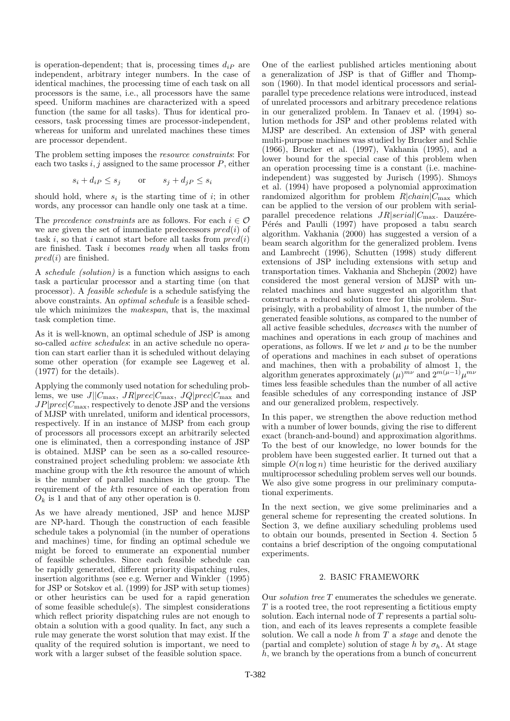is operation-dependent; that is, processing times  $d_{iP}$  are independent, arbitrary integer numbers. In the case of identical machines, the processing time of each task on all processors is the same, i.e., all processors have the same speed. Uniform machines are characterized with a speed function (the same for all tasks). Thus for identical processors, task processing times are processor-independent, whereas for uniform and unrelated machines these times are processor dependent.

The problem setting imposes the resource constraints: For each two tasks  $i, j$  assigned to the same processor  $P$ , either

$$
s_i + d_i P \le s_j \qquad \text{or} \qquad s_j + d_j P \le s_i
$$

should hold, where  $s_i$  is the starting time of i; in other words, any processor can handle only one task at a time.

The precedence constraints are as follows. For each  $i \in \mathcal{O}$ we are given the set of immediate predecessors  $pred(i)$  of task i, so that i cannot start before all tasks from  $pred(i)$ are finished. Task i becomes ready when all tasks from  $pred(i)$  are finished.

A schedule (solution) is a function which assigns to each task a particular processor and a starting time (on that processor). A feasible schedule is a schedule satisfying the above constraints. An optimal schedule is a feasible schedule which minimizes the makespan, that is, the maximal task completion time.

As it is well-known, an optimal schedule of JSP is among so-called active schedules: in an active schedule no operation can start earlier than it is scheduled without delaying some other operation (for example see Lageweg et al. (1977) for the details).

Applying the commonly used notation for scheduling problems, we use  $J||C_{\text{max}}$ ,  $JR|prec|C_{\text{max}}$ ,  $JQ|prec|C_{\text{max}}$  and  $JP|prec|C_{\text{max}}$ , respectively to denote JSP and the versions of MJSP with unrelated, uniform and identical processors, respectively. If in an instance of MJSP from each group of processors all processors except an arbitrarily selected one is eliminated, then a corresponding instance of JSP is obtained. MJSP can be seen as a so-called resourceconstrained project scheduling problem: we associate kth machine group with the kth resource the amount of which is the number of parallel machines in the group. The requirement of the kth resource of each operation from  $O_k$  is 1 and that of any other operation is 0.

As we have already mentioned, JSP and hence MJSP are NP-hard. Though the construction of each feasible schedule takes a polynomial (in the number of operations and machines) time, for finding an optimal schedule we might be forced to enumerate an exponential number of feasible schedules. Since each feasible schedule can be rapidly generated, different priority dispatching rules, insertion algorithms (see e.g. Werner and Winkler (1995) for JSP or Sotskov et al. (1999) for JSP with setup tiomes) or other heuristics can be used for a rapid generation of some feasible schedule(s). The simplest considerations which reflect priority dispatching rules are not enough to obtain a solution with a good quality. In fact, any such a rule may generate the worst solution that may exist. If the quality of the required solution is important, we need to work with a larger subset of the feasible solution space.

One of the earliest published articles mentioning about a generalization of JSP is that of Giffler and Thompson (1960). In that model identical processors and serialparallel type precedence relations were introduced, instead of unrelated processors and arbitrary precedence relations in our generalized problem. In Tanaev et al. (1994) solution methods for JSP and other problems related with MJSP are described. An extension of JSP with general multi-purpose machines was studied by Brucker and Schlie (1966), Brucker et al. (1997), Vakhania (1995), and a lower bound for the special case of this problem when an operation processing time is a constant (i.e. machineindependent) was suggested by Jurisch (1995). Shmoys et al. (1994) have proposed a polynomial approximation randomized algorithm for problem  $R|chain|C_{\text{max}}$  which can be applied to the version of our problem with serialparallel precedence relations  $JR|serial|C_{\text{max}}$ . Dauzére-Pérés and Paulli (1997) have proposed a tabu search algorithm. Vakhania (2000) has suggested a version of a beam search algorithm for the generalized problem. Ivens and Lambrecht (1996), Schutten (1998) study different extensions of JSP including extensions with setup and transportation times. Vakhania and Shchepin (2002) have considered the most general version of MJSP with unrelated machines and have suggested an algorithm that constructs a reduced solution tree for this problem. Surprisingly, with a probability of almost 1, the number of the generated feasible solutions, as compared to the number of all active feasible schedules, decreases with the number of machines and operations in each group of machines and operations, as follows. If we let  $\nu$  and  $\mu$  to be the number of operations and machines in each subset of operations and machines, then with a probability of almost 1, the algorithm generates approximately  $(\mu)^{m\nu}$  and  $2^{m(\mu-1)}\mu^{m\nu}$ times less feasible schedules than the number of all active feasible schedules of any corresponding instance of JSP and our generalized problem, respectively.

In this paper, we strengthen the above reduction method with a number of lower bounds, giving the rise to different exact (branch-and-bound) and approximation algorithms. To the best of our knowledge, no lower bounds for the problem have been suggested earlier. It turned out that a simple  $O(n \log n)$  time heuristic for the derived auxiliary multiprocessor scheduling problem serves well our bounds. We also give some progress in our preliminary computational experiments.

In the next section, we give some preliminaries and a general scheme for representing the created solutions. In Section 3, we define auxiliary scheduling problems used to obtain our bounds, presented in Section 4. Section 5 contains a brief description of the ongoing computational experiments.

# 2. BASIC FRAMEWORK

Our solution tree T enumerates the schedules we generate. T is a rooted tree, the root representing a fictitious empty solution. Each internal node of T represents a partial solution, and each of its leaves represents a complete feasible solution. We call a node  $h$  from  $T$  a stage and denote the (partial and complete) solution of stage h by  $\sigma_h$ . At stage h, we branch by the operations from a bunch of concurrent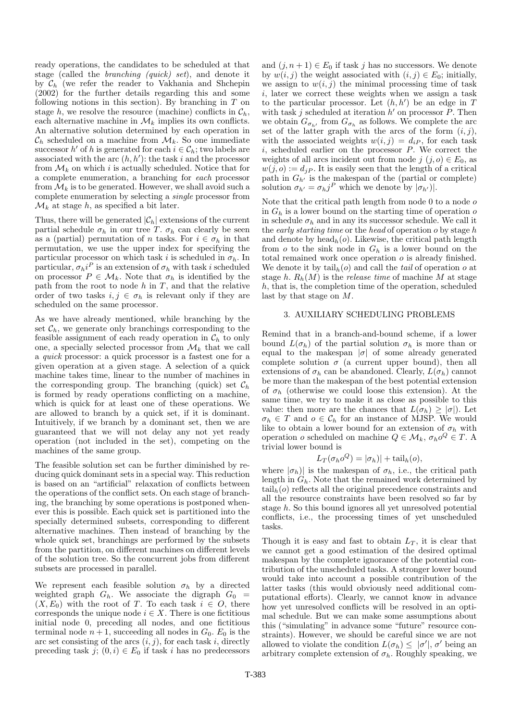ready operations, the candidates to be scheduled at that stage (called the branching (quick) set), and denote it by  $C_h$  (we refer the reader to Vakhania and Shchepin (2002) for the further details regarding this and some following notions in this section). By branching in  $T$  on stage h, we resolve the resource (machine) conflicts in  $\mathcal{C}_h$ , each alternative machine in  $\mathcal{M}_k$  implies its own conflicts. An alternative solution determined by each operation in  $\mathcal{C}_h$  scheduled on a machine from  $\mathcal{M}_k$ . So one immediate successor  $h'$  of h is generated for each  $i \in \mathcal{C}_h$ ; two labels are associated with the arc  $(h, h')$ : the task i and the processor from  $\mathcal{M}_k$  on which i is actually scheduled. Notice that for a complete enumeration, a branching for each processor from  $\mathcal{M}_k$  is to be generated. However, we shall avoid such a complete enumeration by selecting a single processor from  $\mathcal{M}_k$  at stage h, as specified a bit later.

Thus, there will be generated  $|\mathcal{C}_h|$  extensions of the current partial schedule  $\sigma_h$  in our tree T.  $\sigma_h$  can clearly be seen as a (partial) permutation of n tasks. For  $i \in \sigma_h$  in that permutation, we use the upper index for specifying the particular processor on which task i is scheduled in  $\sigma_h$ . In particular,  $\sigma_h i^P$  is an extension of  $\sigma_h$  with task i scheduled on processor  $P \in \mathcal{M}_k$ . Note that  $\sigma_h$  is identified by the path from the root to node  $h$  in  $T$ , and that the relative order of two tasks  $i, j \in \sigma_h$  is relevant only if they are scheduled on the same processor.

As we have already mentioned, while branching by the set  $\mathcal{C}_h$ , we generate only branchings corresponding to the feasible assignment of each ready operation in  $\mathcal{C}_h$  to only one, a specially selected processor from  $\mathcal{M}_k$  that we call a quick processor: a quick processor is a fastest one for a given operation at a given stage. A selection of a quick machine takes time, linear to the number of machines in the corresponding group. The branching (quick) set  $\mathcal{C}_h$ is formed by ready operations conflicting on a machine, which is quick for at least one of these operations. We are allowed to branch by a quick set, if it is dominant. Intuitively, if we branch by a dominant set, then we are guaranteed that we will not delay any not yet ready operation (not included in the set), competing on the machines of the same group.

The feasible solution set can be further diminished by reducing quick dominant sets in a special way. This reduction is based on an "artificial" relaxation of conflicts between the operations of the conflict sets. On each stage of branching, the branching by some operations is postponed whenever this is possible. Each quick set is partitioned into the specially determined subsets, corresponding to different alternative machines. Then instead of branching by the whole quick set, branchings are performed by the subsets from the partition, on different machines on different levels of the solution tree. So the concurrent jobs from different subsets are processed in parallel.

We represent each feasible solution  $\sigma_h$  by a directed weighted graph  $G_h$ . We associate the digraph  $G_0$  =  $(X, E_0)$  with the root of T. To each task  $i \in O$ , there corresponds the unique node  $i \in X$ . There is one fictitious initial node 0, preceding all nodes, and one fictitious terminal node  $n + 1$ , succeeding all nodes in  $G_0$ .  $E_0$  is the arc set consisting of the arcs  $(i, j)$ , for each task i, directly preceding task j;  $(0, i) \in E_0$  if task i has no predecessors

and  $(j, n + 1) \in E_0$  if task j has no successors. We denote by  $w(i, j)$  the weight associated with  $(i, j) \in E_0$ ; initially, we assign to  $w(i, j)$  the minimal processing time of task i, later we correct these weights when we assign a task to the particular processor. Let  $(h, h')$  be an edge in T with task j scheduled at iteration  $h'$  on processor  $\tilde{P}$ . Then we obtain  $G_{\sigma_{h'}}$  from  $G_{\sigma_h}$  as follows. We complete the arc set of the latter graph with the arcs of the form  $(i, j)$ , with the associated weights  $w(i, j) = d_i P$ , for each task  $i$ , scheduled earlier on the processor  $P$ . We correct the weights of all arcs incident out from node  $j$   $(j, o) \in E_0$ , as  $w(j, o) := d_{jP}$ . It is easily seen that the length of a critical path in  $G_{h'}$  is the makespan of the (partial or complete) solution  $\sigma_{h'} = \sigma_h j^P$  which we denote by  $|\sigma_{h'}|$ .

Note that the critical path length from node  $0$  to a node  $o$ in  $G_h$  is a lower bound on the starting time of operation  $o$ in schedule  $\sigma_h$  and in any its successor schedule. We call it the early starting time or the head of operation  $\rho$  by stage h and denote by  $head_h(o)$ . Likewise, the critical path length from  $o$  to the sink node in  $G_h$  is a lower bound on the total remained work once operation  $o$  is already finished. We denote it by  $\mathrm{tail}_h(o)$  and call the *tail* of operation o at stage h.  $R_h(M)$  is the release time of machine M at stage  $h$ , that is, the completion time of the operation, scheduled last by that stage on M.

## 3. AUXILIARY SCHEDULING PROBLEMS

Remind that in a branch-and-bound scheme, if a lower bound  $L(\sigma_h)$  of the partial solution  $\sigma_h$  is more than or equal to the makespan  $|\sigma|$  of some already generated complete solution  $\sigma$  (a current upper bound), then all extensions of  $\sigma_h$  can be abandoned. Clearly,  $L(\sigma_h)$  cannot be more than the makespan of the best potential extension of  $\sigma_h$  (otherwise we could loose this extension). At the same time, we try to make it as close as possible to this value: then more are the chances that  $L(\sigma_h) \geq |\sigma|$ . Let  $\sigma_h \in T$  and  $o \in \mathcal{C}_h$  for an instance of MJSP. We would like to obtain a lower bound for an extension of  $\sigma_h$  with operation *o* scheduled on machine  $Q \in \mathcal{M}_k$ ,  $\sigma_h o^Q \in T$ . A trivial lower bound is

$$
L_T(\sigma_h o^Q) = |\sigma_h)| + \text{tail}_h(o),
$$

where  $|\sigma_h|$  is the makespan of  $\sigma_h$ , i.e., the critical path length in  $G_h$ . Note that the remained work determined by  $\mathrm{tail}_{h}(o)$  reflects all the original precedence constraints and all the resource constraints have been resolved so far by stage h. So this bound ignores all yet unresolved potential conflicts, i.e., the processing times of yet unscheduled tasks.

Though it is easy and fast to obtain  $L_T$ , it is clear that we cannot get a good estimation of the desired optimal makespan by the complete ignorance of the potential contribution of the unscheduled tasks. A stronger lower bound would take into account a possible contribution of the latter tasks (this would obviously need additional computational efforts). Clearly, we cannot know in advance how yet unresolved conflicts will be resolved in an optimal schedule. But we can make some assumptions about this ("simulating" in advance some "future" resource constraints). However, we should be careful since we are not allowed to violate the condition  $L(\sigma_h) \leq |\sigma'|$ ,  $\sigma'$  being an arbitrary complete extension of  $\sigma_h$ . Roughly speaking, we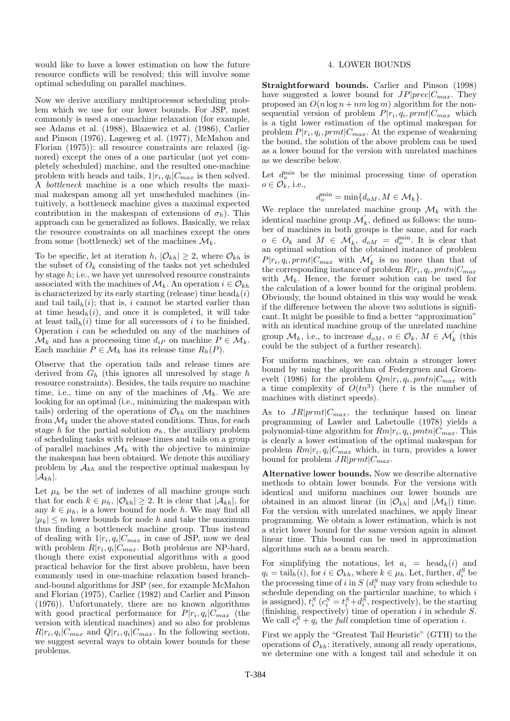would like to have a lower estimation on how the future resource conflicts will be resolved; this will involve some optimal scheduling on parallel machines.

Now we derive auxiliary multiprocessor scheduling problem which we use for our lower bounds. For JSP, most commonly is used a one-machine relaxation (for example, see Adams et al. (1988), Blazewicz et al. (1986), Carlier and Pinson (1976), Lageweg et al. (1977), McMahon and Florian (1975)): all resource constraints are relaxed (ignored) except the ones of a one particular (not yet completely scheduled) machine, and the resulted one-machine problem with heads and tails,  $1|r_i, q_i|C_{max}$  is then solved. A bottleneck machine is a one which results the maximal makespan among all yet unscheduled machines (intuitively, a bottleneck machine gives a maximal expected contribution in the makespan of extensions of  $\sigma_h$ ). This approach can be generalized as follows. Basically, we relax the resource constraints on all machines except the ones from some (bottleneck) set of the machines  $\mathcal{M}_k$ .

To be specific, let at iteration h,  $|\mathcal{O}_{kh}| \geq 2$ , where  $\mathcal{O}_{kh}$  is the subset of  $O_k$  consisting of the tasks not yet scheduled by stage h; i.e., we have yet unresolved resource constraints associated with the machines of  $\mathcal{M}_k$ . An operation  $i \in \mathcal{O}_{kh}$ is characterized by its early starting (release) time  $head_h(i)$ and tail  $\text{tail}_h(i)$ ; that is, i cannot be started earlier than at time  $head_h(i)$ , and once it is completed, it will take at least  $\text{tail}_h(i)$  time for all successors of i to be finished. Operation  $i$  can be scheduled on any of the machines of  $\mathcal{M}_k$  and has a processing time  $d_{iP}$  on machine  $P \in \mathcal{M}_k$ . Each machine  $P \in \mathcal{M}_k$  has its release time  $R_h(P)$ .

Observe that the operation tails and release times are derived from  $G_h$  (this ignores all unresolved by stage h resource constraints). Besides, the tails require no machine time, i.e., time on any of the machines of  $\mathcal{M}_k$ . We are looking for an optimal (i.e., minimizing the makespan with tails) ordering of the operations of  $\mathcal{O}_{kh}$  on the machines from  $\mathcal{M}_k$  under the above stated conditions. Thus, for each stage h for the partial solution  $\sigma_h$ , the auxiliary problem of scheduling tasks with release times and tails on a group of parallel machines  $\mathcal{M}_k$  with the objective to minimize the makespan has been obtained. We denote this auxiliary problem by  $A_{kh}$  and the respective optimal makespan by  $|\mathcal{A}_{kh}|$ .

Let  $\mu_h$  be the set of indexes of all machine groups such that for each  $k \in \mu_h$ ,  $|\mathcal{O}_{kh}| \geq 2$ . It is clear that  $|\mathcal{A}_{kh}|$ , for any  $k \in \mu_h$ , is a lower bound for node h. We may find all  $|\mu_k| \leq m$  lower bounds for node h and take the maximum thus finding a bottleneck machine group. Thus instead of dealing with  $1|r_i, q_i|C_{max}$  in case of JSP, now we deal with problem  $R|r_i, q_i|C_{max}$ . Both problems are NP-hard, though there exist exponential algorithms with a good practical behavior for the first above problem, have been commonly used in one-machine relaxation based branchand-bound algorithms for JSP (see, for example McMahon and Florian (1975), Carlier (1982) and Carlier and Pinson (1976)). Unfortunately, there are no known algorithms with good practical performance for  $P|r_i, q_i|C_{max}$  (the version with identical machines) and so also for problems  $R|r_i, q_i|C_{max}$  and  $Q|r_i, q_i|C_{max}$ . In the following section, we suggest several ways to obtain lower bounds for these problems.

## 4. LOWER BOUNDS

Straightforward bounds. Carlier and Pinson (1998) have suggested a lower bound for  $JP|prec|C_{max}$ . They proposed an  $O(n \log n + nm \log m)$  algorithm for the nonsequential version of problem  $P|r_i, q_i, prmt|C_{max}$  which is a tight lower estimation of the optimal makespan for problem  $P|r_i, q_i, prmt|C_{max}$ . At the expense of weakening the bound, the solution of the above problem can be used as a lower bound for the version with unrelated machines as we describe below.

Let  $d_o^{\min}$  be the minimal processing time of operation  $o \in \mathcal{O}_k^{\vee}$ , i.e.,

$$
d_o^{\min} = \min\{d_{oM}, M \in \mathcal{M}_k\}.
$$

We replace the unrelated machine group  $\mathcal{M}_k$  with the identical machine group  $\mathcal{M}'_k$ , defined as follows: the number of machines in both groups is the same, and for each  $o \in O_k$  and  $M \in \mathcal{M}'_k$ ,  $d_{oM} = d_o^{\min}$ . It is clear that an optimal solution of the obtained instance of problem  $P|r_i, q_i, prmt|C_{max}$  with  $\mathcal{M}'_k$  is no more than that of the corresponding instance of problem  $R|r_i, q_i, pmtn|C_{max}$ with  $\mathcal{M}_k$ . Hence, the former solution can be used for the calculation of a lower bound for the original problem. Obviously, the bound obtained in this way would be weak if the difference between the above two solutions is significant. It might be possible to find a better "approximation" with an identical machine group of the unrelated machine group  $\mathcal{M}_k$ , i.e., to increase  $d_{oM}$ ,  $o \in \mathcal{O}_k$ ,  $M \in \mathcal{M}'_k$  (this could be the subject of a further research).

For uniform machines, we can obtain a stronger lower bound by using the algorithm of Federgruen and Groenevelt (1986) for the problem  $Qm|r_i, q_i, pmtn|C_{max}$  with a time complexity of  $O(tn^3)$  (here t is the number of machines with distinct speeds).

As to  $JR|prmt|C_{max}$ , the technique based on linear programming of Lawler and Labetoulle (1978) yields a polynomial-time algorithm for  $Rm|r_i, q_i, pmtn|C_{max}$ . This is clearly a lower estimation of the optimal makespan for problem  $Rm|r_i, q_i|C_{max}$  which, in turn, provides a lower bound for problem  $JR|prmt|C_{max}$ .

Alternative lower bounds. Now we describe alternative methods to obtain lower bounds. For the versions with identical and uniform machines our lower bounds are obtained in an almost linear (in  $|\mathcal{O}_{kh}|$  and  $|\mathcal{M}_k|$ ) time. For the version with unrelated machines, we apply linear programming. We obtain a lower estimation, which is not a strict lower bound for the same version again in almost linear time. This bound can be used in approximation algorithms such as a beam search.

For simplifying the notations, let  $a_i$  = head<sub>h</sub>(i) and  $q_i = \text{tail}_h(i)$ , for  $i \in \mathcal{O}_{kh}$ , where  $k \in \mu_h$ . Let, further,  $d_i^S$  be the processing time of i in  $S(d_i^S \text{ may vary from schedule to})$ schedule depending on the particular machine, to which  $i$ is assigned),  $t_i^S$  ( $c_i^S = t_i^S + d_i^S$ , respectively), be the starting (finishing, respectively) time of operation  $i$  in schedule  $S$ . We call  $c_i^S + q_i$  the *full* completion time of operation *i*.

First we apply the "Greatest Tail Heuristic" (GTH) to the operations of  $\mathcal{O}_{kh}$ : iteratively, among all ready operations, we determine one with a longest tail and schedule it on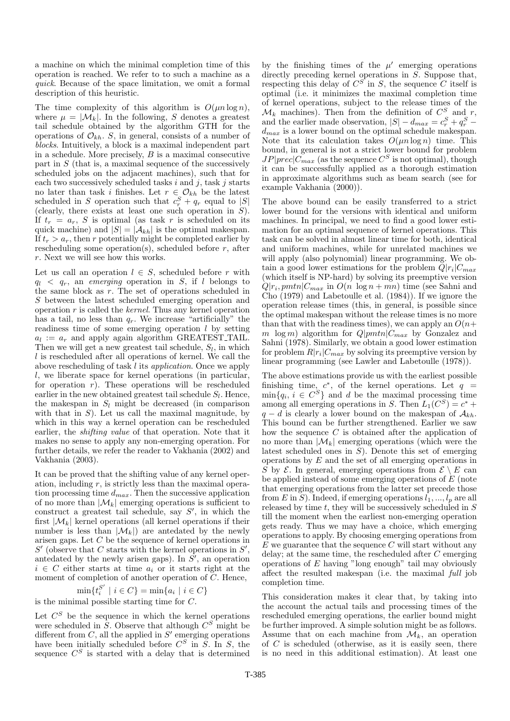a machine on which the minimal completion time of this operation is reached. We refer to to such a machine as a quick. Because of the space limitation, we omit a formal description of this heuristic.

The time complexity of this algorithm is  $O(\mu n \log n)$ , where  $\mu = |\mathcal{M}_k|$ . In the following, S denotes a greatest tail schedule obtained by the algorithm GTH for the operations of  $\mathcal{O}_{kh}$ . S, in general, consists of a number of blocks. Intuitively, a block is a maximal independent part in a schedule. More precisely,  $B$  is a maximal consecutive part in  $S$  (that is, a maximal sequence of the successively scheduled jobs on the adjacent machines), such that for each two successively scheduled tasks i and j, task j starts no later than task i finishes. Let  $r \in \mathcal{O}_{kh}$  be the latest scheduled in S operation such that  $c_r^S + q_r$  equal to  $|S|$ (clearly, there exists at least one such operation in S). If  $t_r = a_r$ , S is optimal (as task r is scheduled on its quick machine) and  $|S| = |\mathcal{A}_{kh}|$  is the optimal makespan. If  $t_r > a_r$ , then r potentially might be completed earlier by rescheduling some operation(s), scheduled before  $r$ , after r. Next we will see how this works.

Let us call an operation  $l \in S$ , scheduled before r with  $q_l \leq q_r$ , an *emerging* operation in S, if l belongs to the same block as r. The set of operations scheduled in S between the latest scheduled emerging operation and operation  $r$  is called the *kernel*. Thus any kernel operation has a tail, no less than  $q_r$ . We increase "artificially" the readiness time of some emerging operation  $l$  by setting  $a_l := a_r$  and apply again algorithm GREATEST\_TAIL. Then we will get a new greatest tail schedule,  $S_l$ , in which l is rescheduled after all operations of kernel. We call the above rescheduling of task l its application. Once we apply l, we liberate space for kernel operations (in particular, for operation  $r$ ). These operations will be rescheduled earlier in the new obtained greatest tail schedule  $S_l$ . Hence, the makespan in  $S_l$  might be decreased (in comparison with that in  $S$ ). Let us call the maximal magnitude, by which in this way a kernel operation can be rescheduled earlier, the shifting value of that operation. Note that it makes no sense to apply any non-emerging operation. For further details, we refer the reader to Vakhania (2002) and Vakhania (2003).

It can be proved that the shifting value of any kernel operation, including  $r$ , is strictly less than the maximal operation processing time  $d_{max}$ . Then the successive application of no more than  $|\mathcal{M}_k|$  emerging operations is sufficient to construct a greatest tail schedule, say  $S'$ , in which the first  $|\mathcal{M}_k|$  kernel operations (all kernel operations if their number is less than  $|\mathcal{M}_k|$  are antedated by the newly arisen gaps. Let C be the sequence of kernel operations in  $S'$  (observe that C starts with the kernel operations in  $S'$ , antedated by the newly arisen gaps). In  $S'$ , an operation  $i \in C$  either starts at time  $a_i$  or it starts right at the moment of completion of another operation of C. Hence,

$$
\min\{t_i^{S'} \mid i \in C\} = \min\{a_i \mid i \in C\}
$$

is the minimal possible starting time for C.

Let  $C<sup>S</sup>$  be the sequence in which the kernel operations were scheduled in  $\overline{S}$ . Observe that although  $C^S$  might be different from  $C$ , all the applied in  $S'$  emerging operations have been initially scheduled before  $C^S$  in  $\tilde{S}$ . In  $S$ , the sequence  $C^S$  is started with a delay that is determined

by the finishing times of the  $\mu'$  emerging operations directly preceding kernel operations in S. Suppose that, respecting this delay of  $C^S$  in S, the sequence C itself is optimal (i.e. it minimizes the maximal completion time of kernel operations, subject to the release times of the  $\mathcal{M}_k$  machines). Then from the definition of  $C^S$  and r, and the earlier made observation,  $|S| - d_{max} = c_r^S + q_r^S$  $d_{max}$  is a lower bound on the optimal schedule makespan. Note that its calculation takes  $O(\mu n \log n)$  time. This bound, in general is not a strict lower bound for problem  $JP|prec|C_{max}$  (as the sequence  $C^{S}$  is not optimal), though it can be successfully applied as a thorough estimation in approximate algorithms such as beam search (see for example Vakhania (2000)).

The above bound can be easily transferred to a strict lower bound for the versions with identical and uniform machines. In principal, we need to find a good lower estimation for an optimal sequence of kernel operations. This task can be solved in almost linear time for both, identical and uniform machines, while for unrelated machines we will apply (also polynomial) linear programming. We obtain a good lower estimations for the problem  $Q|r_i|C_{max}$ (which itself is NP-hard) by solving its preemptive version  $Q|r_i, pmtn|C_{max}$  in  $O(n \log n + mn)$  time (see Sahni and Cho (1979) and Labetoulle et al. (1984)). If we ignore the operation release times (this, in general, is possible since the optimal makespan without the release times is no more than that with the readiness times), we can apply an  $O(n+$ m log m) algorithm for  $Q|pmn|C_{max}$  by Gonzalez and Sahni (1978). Similarly, we obtain a good lower estimation for problem  $R|r_i|C_{max}$  by solving its preemptive version by linear programming (see Lawler and Labetoulle (1978)).

The above estimations provide us with the earliest possible finishing time,  $c^*$ , of the kernel operations. Let  $q =$  $\min\{q_i, i \in C^S\}$  and d be the maximal processing time among all emerging operations in S. Then  $L_1(C^S) = c^* +$  $q - d$  is clearly a lower bound on the makespan of  $\mathcal{A}_{kh}$ . This bound can be further strengthened. Earlier we saw how the sequence C is obtained after the application of no more than  $|\mathcal{M}_k|$  emerging operations (which were the latest scheduled ones in  $S$ ). Denote this set of emerging operations by  $E$  and the set of all emerging operations in S by  $\mathcal{E}$ . In general, emerging operations from  $\mathcal{E} \setminus E$  can be applied instead of some emerging operations of  $E$  (note that emerging operations from the latter set precede those from  $E$  in  $S$ ). Indeed, if emerging operations  $l_1, ..., l_p$  are all released by time  $t$ , they will be successively scheduled in  $S$ till the moment when the earliest non-emerging operation gets ready. Thus we may have a choice, which emerging operations to apply. By choosing emerging operations from  $E$  we guarantee that the sequence  $C$  will start without any delay; at the same time, the rescheduled after C emerging operations of  $E$  having "long enough" tail may obviously affect the resulted makespan (i.e. the maximal full job completion time.

This consideration makes it clear that, by taking into the account the actual tails and processing times of the rescheduled emerging operations, the earlier bound might be further improved. A simple solution might be as follows. Assume that on each machine from  $\mathcal{M}_k$ , an operation of  $C$  is scheduled (otherwise, as it is easily seen, there is no need in this additional estimation). At least one